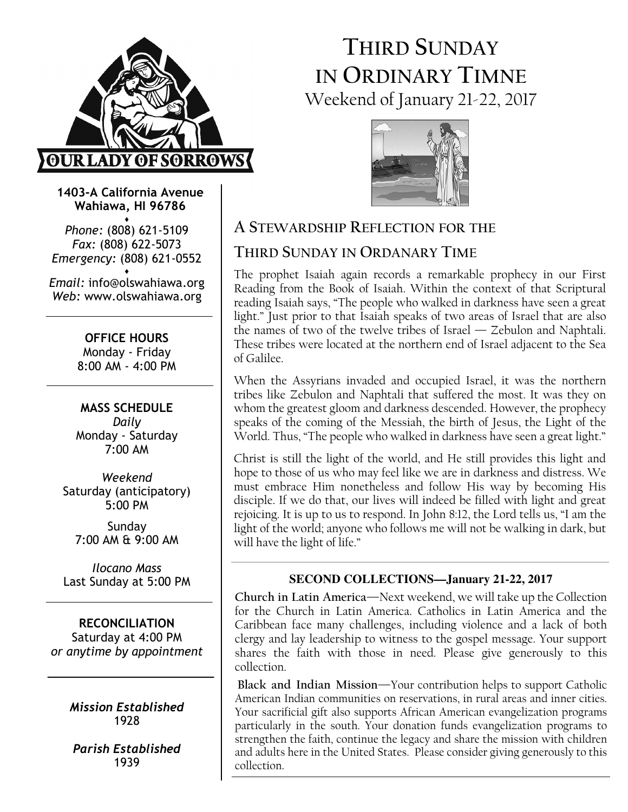

# THIRD SUNDAY IN ORDINARY TIMNE Weekend of January 21-22, 2017



1403-A California Avenue Wahiawa, HI 96786

♦ Phone: (808) 621-5109 Fax: (808) 622-5073 Emergency: (808) 621-0552

♦ Email: info@olswahiawa.org Web: www.olswahiawa.org

> OFFICE HOURS Monday - Friday 8:00 AM - 4:00 PM

MASS SCHEDULE Daily Monday - Saturday 7:00 AM

Weekend Saturday (anticipatory) 5:00 PM

Sunday 7:00 AM & 9:00 AM

Ilocano Mass Last Sunday at 5:00 PM

RECONCILIATION

Saturday at 4:00 PM or anytime by appointment

> Mission Established 1928

Parish Established 1939

# A STEWARDSHIP REFLECTION FOR THE

# THIRD SUNDAY IN ORDANARY TIME

The prophet Isaiah again records a remarkable prophecy in our First Reading from the Book of Isaiah. Within the context of that Scriptural reading Isaiah says, "The people who walked in darkness have seen a great light." Just prior to that Isaiah speaks of two areas of Israel that are also the names of two of the twelve tribes of Israel — Zebulon and Naphtali. These tribes were located at the northern end of Israel adjacent to the Sea of Galilee.

When the Assyrians invaded and occupied Israel, it was the northern tribes like Zebulon and Naphtali that suffered the most. It was they on whom the greatest gloom and darkness descended. However, the prophecy speaks of the coming of the Messiah, the birth of Jesus, the Light of the World. Thus, "The people who walked in darkness have seen a great light."

Christ is still the light of the world, and He still provides this light and hope to those of us who may feel like we are in darkness and distress. We must embrace Him nonetheless and follow His way by becoming His disciple. If we do that, our lives will indeed be filled with light and great rejoicing. It is up to us to respond. In John 8:12, the Lord tells us, "I am the light of the world; anyone who follows me will not be walking in dark, but will have the light of life."

### **SECOND COLLECTIONS—January 21-22, 2017**

Church in Latin America—Next weekend, we will take up the Collection for the Church in Latin America. Catholics in Latin America and the Caribbean face many challenges, including violence and a lack of both clergy and lay leadership to witness to the gospel message. Your support shares the faith with those in need. Please give generously to this collection.

Black and Indian Mission—Your contribution helps to support Catholic American Indian communities on reservations, in rural areas and inner cities. Your sacrificial gift also supports African American evangelization programs particularly in the south. Your donation funds evangelization programs to strengthen the faith, continue the legacy and share the mission with children and adults here in the United States. Please consider giving generously to this collection.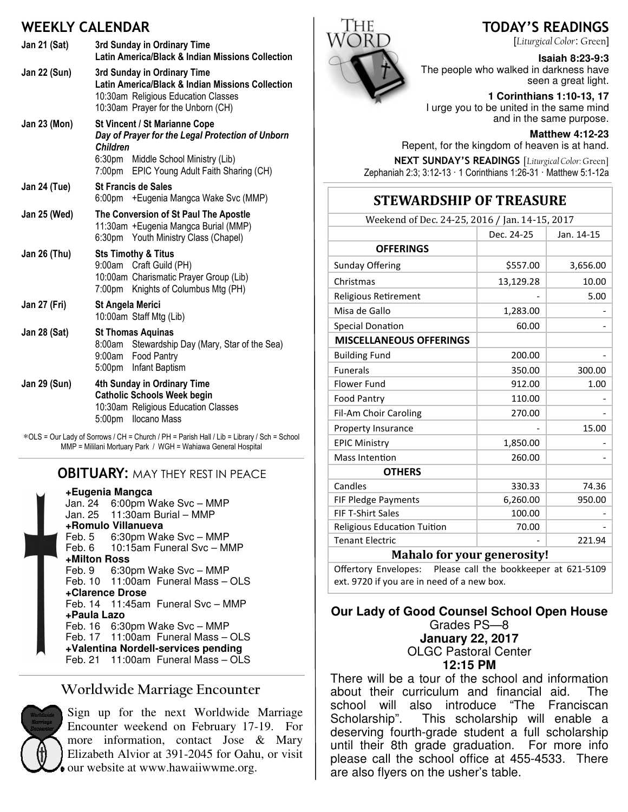### WEEKLY CALENDAR

|                     | 166. I T <i>o</i>                                                                                                                                                                         |  |  |
|---------------------|-------------------------------------------------------------------------------------------------------------------------------------------------------------------------------------------|--|--|
| Jan 21 (Sat)        | 3rd Sunday in Ordinary Time<br>Latin America/Black & Indian Missions Collection                                                                                                           |  |  |
| <b>Jan 22 (Sun)</b> | 3rd Sunday in Ordinary Time<br>Latin America/Black & Indian Missions Collection<br>10:30am Religious Education Classes<br>10:30am Prayer for the Unborn (CH)                              |  |  |
| <b>Jan 23 (Mon)</b> | St Vincent / St Marianne Cope<br>Day of Prayer for the Legal Protection of Unborn<br><b>Children</b><br>6:30pm Middle School Ministry (Lib)<br>7:00pm EPIC Young Adult Faith Sharing (CH) |  |  |
| Jan 24 (Tue)        | <b>St Francis de Sales</b><br>6:00pm + Eugenia Mangca Wake Svc (MMP)                                                                                                                      |  |  |
| <b>Jan 25 (Wed)</b> | The Conversion of St Paul The Apostle<br>11:30am + Eugenia Mangca Burial (MMP)<br>6:30pm Youth Ministry Class (Chapel)                                                                    |  |  |
| Jan 26 (Thu)        | <b>Sts Timothy &amp; Titus</b><br>9:00am Craft Guild (PH)<br>10:00am Charismatic Prayer Group (Lib)<br>7:00pm Knights of Columbus Mtg (PH)                                                |  |  |
| Jan 27 (Fri)        | <b>St Angela Merici</b><br>10:00am Staff Mtg (Lib)                                                                                                                                        |  |  |
| <b>Jan 28 (Sat)</b> | <b>St Thomas Aquinas</b><br>8:00am Stewardship Day (Mary, Star of the Sea)<br>9:00am Food Pantry<br>5:00pm Infant Baptism                                                                 |  |  |
| <b>Jan 29 (Sun)</b> | 4th Sunday in Ordinary Time<br><b>Catholic Schools Week begin</b><br>10:30am Religious Education Classes<br>5:00pm Ilocano Mass                                                           |  |  |

∗OLS = Our Lady of Sorrows / CH = Church / PH = Parish Hall / Lib = Library / Sch = School MMP = Mililani Mortuary Park / WGH = Wahiawa General Hospital

### **OBITUARY: MAY THEY REST IN PEACE**

**+Eugenia Mangca** Jan. 24 6:00pm Wake Svc – MMP Jan. 25 11:30am Burial – MMP **+Romulo Villanueva** Feb. 5 6:30pm Wake Svc – MMP<br>Feb. 6 10:15am Funeral Svc – MI 10:15am Funeral Svc – MMP **+Milton Ross** Feb. 9 6:30pm Wake Svc – MMP Feb. 10 11:00am Funeral Mass – OLS **+Clarence Drose** Feb. 14 11:45am Funeral Svc – MMP **+Paula Lazo** Feb. 16 6:30pm Wake Svc – MMP Feb. 17 11:00am Funeral Mass – OLS **+Valentina Nordell-services pending** Feb. 21 11:00am Funeral Mass – OLS

### Worldwide Marriage Encounter



Sign up for the next Worldwide Marriage Encounter weekend on February 17-19. For more information, contact Jose & Mary Elizabeth Alvior at 391-2045 for Oahu, or visit our website at www.hawaiiwwme.org.



### TODAY'S READINGS

[Liturgical Color: Green]

#### **Isaiah 8:23-9:3**

The people who walked in darkness have seen a great light.

**1 Corinthians 1:10-13, 17** 

I urge you to be united in the same mind and in the same purpose.

**Matthew 4:12-23** 

Repent, for the kingdom of heaven is at hand.

NEXT SUNDAY'S READINGS [Liturgical Color: Green] Zephaniah 2:3; 3:12-13 · 1 Corinthians 1:26-31 · Matthew 5:1-12a

### **STEWARDSHIP OF TREASURE**

| Weekend of Dec. 24-25, 2016 / Jan. 14-15, 2017 |            |            |  |
|------------------------------------------------|------------|------------|--|
|                                                | Dec. 24-25 | Jan. 14-15 |  |
| <b>OFFERINGS</b>                               |            |            |  |
| <b>Sunday Offering</b>                         | \$557.00   | 3,656.00   |  |
| Christmas                                      | 13,129.28  | 10.00      |  |
| Religious Retirement                           |            | 5.00       |  |
| Misa de Gallo                                  | 1,283.00   |            |  |
| <b>Special Donation</b>                        | 60.00      |            |  |
| <b>MISCELLANEOUS OFFERINGS</b>                 |            |            |  |
| <b>Building Fund</b>                           | 200.00     |            |  |
| <b>Funerals</b>                                | 350.00     | 300.00     |  |
| <b>Flower Fund</b>                             | 912.00     | 1.00       |  |
| <b>Food Pantry</b>                             | 110.00     |            |  |
| Fil-Am Choir Caroling                          | 270.00     |            |  |
| Property Insurance                             |            | 15.00      |  |
| <b>EPIC Ministry</b>                           | 1,850.00   |            |  |
| <b>Mass Intention</b>                          | 260.00     |            |  |
| <b>OTHERS</b>                                  |            |            |  |
| Candles                                        | 330.33     | 74.36      |  |
| FIF Pledge Payments                            | 6,260.00   | 950.00     |  |
| <b>FIF T-Shirt Sales</b>                       | 100.00     |            |  |
| <b>Religious Education Tuition</b>             | 70.00      |            |  |
| <b>Tenant Electric</b>                         |            | 221.94     |  |
| х.                                             |            |            |  |

#### Mahalo for your generosity!

Offertory Envelopes: Please call the bookkeeper at 621-5109 ext. 9720 if you are in need of a new box.

#### **Our Lady of Good Counsel School Open House**  Grades PS—8 **January 22, 2017**  OLGC Pastoral Center

**12:15 PM**  There will be a tour of the school and information about their curriculum and financial aid. The school will also introduce "The Franciscan Scholarship". This scholarship will enable a deserving fourth-grade student a full scholarship until their 8th grade graduation. For more info please call the school office at 455-4533. There are also flyers on the usher's table.